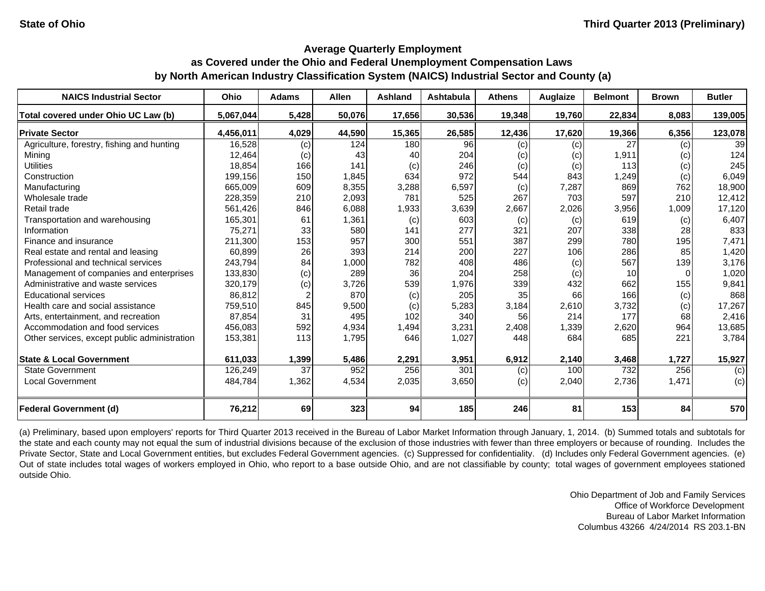#### **Average Quarterly Employment**

# **as Covered under the Ohio and Federal Unemployment Compensation Laws by North American Industry Classification System (NAICS) Industrial Sector and County (a)**

| <b>NAICS Industrial Sector</b>               | Ohio      | <b>Adams</b> | <b>Allen</b> | Ashland | Ashtabula | <b>Athens</b> | Auglaize | <b>Belmont</b>  | <b>Brown</b> | <b>Butler</b> |
|----------------------------------------------|-----------|--------------|--------------|---------|-----------|---------------|----------|-----------------|--------------|---------------|
| Total covered under Ohio UC Law (b)          | 5,067,044 | 5,428        | 50,076       | 17,656  | 30,536    | 19,348        | 19,760   | 22,834          | 8,083        | 139,005       |
| <b>Private Sector</b>                        | 4,456,011 | 4,029        | 44,590       | 15,365  | 26,585    | 12,436        | 17,620   | 19,366          | 6,356        | 123,078       |
| Agriculture, forestry, fishing and hunting   | 16,528    | (c)          | 124          | 180     | 96        | (c)           | (c)      | 27              | (c)          | 39            |
| Mining                                       | 12,464    | (c)          | 43           | 40      | 204       | (c)           | (c)      | 1,911           | (c)          | 124           |
| <b>Utilities</b>                             | 18,854    | 166          | 141          | (c)     | 246       | (c)           | (c)      | 113             | (c)          | 245           |
| Construction                                 | 199,156   | 150          | 1,845        | 634     | 972       | 544           | 843      | 1,249           | (c)          | 6,049         |
| Manufacturing                                | 665,009   | 609          | 8,355        | 3,288   | 6,597     | (c)           | 7,287    | 869             | 762          | 18,900        |
| Wholesale trade                              | 228,359   | 210          | 2,093        | 781     | 525       | 267           | 703      | 597             | 210          | 12,412        |
| Retail trade                                 | 561,426   | 846          | 6,088        | 1,933   | 3,639     | 2,667         | 2,026    | 3,956           | 1,009        | 17,120        |
| Transportation and warehousing               | 165,301   | 61           | 1,361        | (c)     | 603       | (c)           | (c)      | 619             | (c)          | 6,407         |
| Information                                  | 75,271    | 33           | 580          | 141     | 277       | 321           | 207      | 338             | 28           | 833           |
| Finance and insurance                        | 211,300   | 153          | 957          | 300     | 551       | 387           | 299      | 780             | 195          | 7,471         |
| Real estate and rental and leasing           | 60,899    | 26           | 393          | 214     | 200       | 227           | 106      | 286             | 85           | 1,420         |
| Professional and technical services          | 243,794   | 84           | 1,000        | 782     | 408       | 486           | (c)      | 567             | 139          | 3,176         |
| Management of companies and enterprises      | 133,830   | (c)          | 289          | 36      | 204       | 258           | (c)      | 10 <sup>1</sup> | $\Omega$     | 1,020         |
| Administrative and waste services            | 320,179   | (c)          | 3,726        | 539     | 1,976     | 339           | 432      | 662             | 155          | 9,841         |
| <b>Educational services</b>                  | 86,812    |              | 870          | (c)     | 205       | 35            | 66       | 166             | (c)          | 868           |
| Health care and social assistance            | 759,510   | 845          | 9,500        | (c)     | 5,283     | 3,184         | 2,610    | 3,732           | (c)          | 17,267        |
| Arts, entertainment, and recreation          | 87,854    | 31           | 495          | 102     | 340       | 56            | 214      | 177             | 68           | 2,416         |
| Accommodation and food services              | 456,083   | 592          | 4,934        | 1,494   | 3,231     | 2,408         | 1,339    | 2,620           | 964          | 13,685        |
| Other services, except public administration | 153,381   | 113          | 1,795        | 646     | 1,027     | 448           | 684      | 685             | 221          | 3,784         |
| <b>State &amp; Local Government</b>          | 611,033   | 1,399        | 5,486        | 2,291   | 3,951     | 6,912         | 2,140    | 3,468           | 1,727        | 15,927        |
| <b>State Government</b>                      | 126,249   | 37           | 952          | 256     | 301       | (c)           | 100      | 732             | 256          | (c)           |
| <b>Local Government</b>                      | 484,784   | 1,362        | 4,534        | 2,035   | 3,650     | (c)           | 2,040    | 2,736           | 1,471        | (c)           |
| <b>Federal Government (d)</b>                | 76,212    | 69           | 323          | 94      | 185       | 246           | 81       | 153             | 84           | 570           |

(a) Preliminary, based upon employers' reports for Third Quarter 2013 received in the Bureau of Labor Market Information through January, 1, 2014. (b) Summed totals and subtotals for the state and each county may not equal the sum of industrial divisions because of the exclusion of those industries with fewer than three employers or because of rounding. Includes the Private Sector, State and Local Government entities, but excludes Federal Government agencies. (c) Suppressed for confidentiality. (d) Includes only Federal Government agencies. (e) Out of state includes total wages of workers employed in Ohio, who report to <sup>a</sup> base outside Ohio, and are not classifiable by county; total wages of government employees stationed outside Ohio.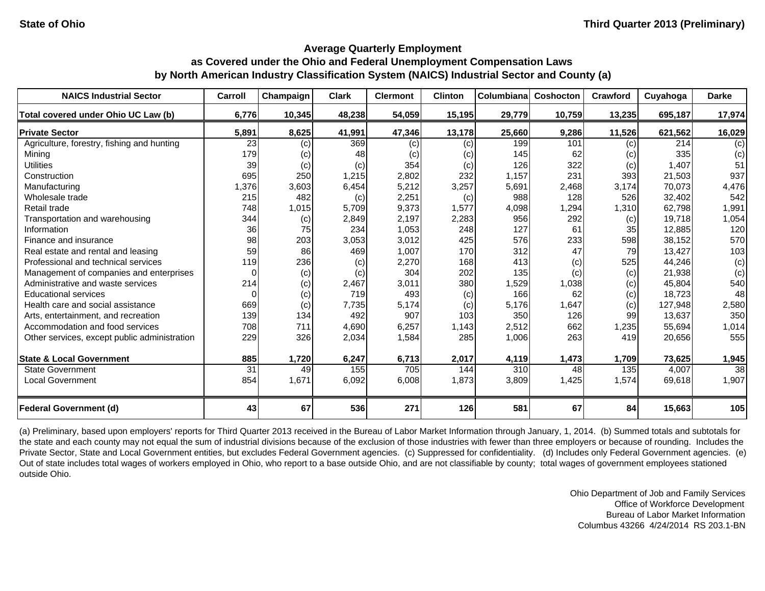| <b>NAICS Industrial Sector</b>               | Carroll  | Champaign | <b>Clark</b> | <b>Clermont</b> | <b>Clinton</b> | Columbiana | Coshocton | <b>Crawford</b> | Cuyahoga | <b>Darke</b>    |
|----------------------------------------------|----------|-----------|--------------|-----------------|----------------|------------|-----------|-----------------|----------|-----------------|
| Total covered under Ohio UC Law (b)          | 6,776    | 10,345    | 48,238       | 54,059          | 15,195         | 29,779     | 10,759    | 13,235          | 695,187  | 17,974          |
| <b>Private Sector</b>                        | 5,891    | 8,625     | 41,991       | 47,346          | 13,178         | 25,660     | 9,286     | 11,526          | 621,562  | 16,029          |
| Agriculture, forestry, fishing and hunting   | 23       | (c)       | 369          | (c)             | (c)            | 199        | 101       | (c)             | 214      | (c)             |
| Mining                                       | 179      | (c)       | 48           | (c)             | (c)            | 145        | 62        | (c)             | 335      | (c)             |
| <b>Utilities</b>                             | 39       | (c)       | (c)          | 354             | (c)            | 126        | 322       | (c)             | 1,407    | 51              |
| Construction                                 | 695      | 250       | 1,215        | 2,802           | 232            | 1,157      | 231       | 393             | 21,503   | 937             |
| Manufacturing                                | 1,376    | 3,603     | 6,454        | 5,212           | 3,257          | 5,691      | 2,468     | 3,174           | 70.073   | 4,476           |
| Wholesale trade                              | 215      | 482       | (c)          | 2,251           | (c)            | 988        | 128       | 526             | 32,402   | 542             |
| Retail trade                                 | 748      | 1,015     | 5,709        | 9,373           | 1,577          | 4,098      | ,294      | 1,310           | 62,798   | 1,991           |
| Transportation and warehousing               | 344      | (c)       | 2,849        | 2,197           | 2,283          | 956        | 292       | (c)             | 19,718   | 1,054           |
| Information                                  | 36       | 75        | 234          | 1,053           | 248            | 127        | 61        | 35              | 12,885   | 120             |
| Finance and insurance                        | 98       | 203       | 3,053        | 3,012           | 425            | 576        | 233       | 598             | 38,152   | 570             |
| Real estate and rental and leasing           | 59       | 86        | 469          | 1,007           | 170            | 312        | 47        | 79              | 13,427   | 103             |
| Professional and technical services          | 119      | 236       | (c)          | 2,270           | 168            | 413        | (c)       | 525             | 44,246   | (c)             |
| Management of companies and enterprises      | $\Omega$ | (c)       | (c)          | 304             | 202            | 135        | (c)       | (c)             | 21,938   | (c)             |
| Administrative and waste services            | 214      | (c)       | 2,467        | 3,011           | 380            | 1,529      | 1,038     | (c)             | 45,804   | 540             |
| <b>Educational services</b>                  | $\Omega$ | (c)       | 719          | 493             | (c)            | 166        | 62        | (c)             | 18,723   | 48              |
| Health care and social assistance            | 669      | (c)       | 7,735        | 5,174           | (c)            | 5,176      | 1,647     | (c)             | 127,948  | 2,580           |
| Arts, entertainment, and recreation          | 139      | 134       | 492          | 907             | 103            | 350        | 126       | 99              | 13,637   | 350             |
| Accommodation and food services              | 708      | 711       | 4,690        | 6,257           | 1,143          | 2,512      | 662       | 1,235           | 55,694   | 1,014           |
| Other services, except public administration | 229      | 326       | 2,034        | 1,584           | 285            | 1,006      | 263       | 419             | 20,656   | 555             |
| <b>State &amp; Local Government</b>          | 885      | 1,720     | 6,247        | 6,713           | 2,017          | 4,119      | 1,473     | 1,709           | 73,625   | 1,945           |
| <b>State Government</b>                      | 31       | 49        | 155          | 705             | 144            | 310        | 48        | 135             | 4,007    | $\overline{38}$ |
| <b>Local Government</b>                      | 854      | 1,671     | 6,092        | 6,008           | 1,873          | 3,809      | 1,425     | 1,574           | 69,618   | 1,907           |
| <b>Federal Government (d)</b>                | 43       | 67        | 536          | 271             | 126            | 581        | 67        | 84              | 15,663   | 105             |

(a) Preliminary, based upon employers' reports for Third Quarter 2013 received in the Bureau of Labor Market Information through January, 1, 2014. (b) Summed totals and subtotals for the state and each county may not equal the sum of industrial divisions because of the exclusion of those industries with fewer than three employers or because of rounding. Includes the Private Sector, State and Local Government entities, but excludes Federal Government agencies. (c) Suppressed for confidentiality. (d) Includes only Federal Government agencies. (e) Out of state includes total wages of workers employed in Ohio, who report to a base outside Ohio, and are not classifiable by county; total wages of government employees stationed outside Ohio.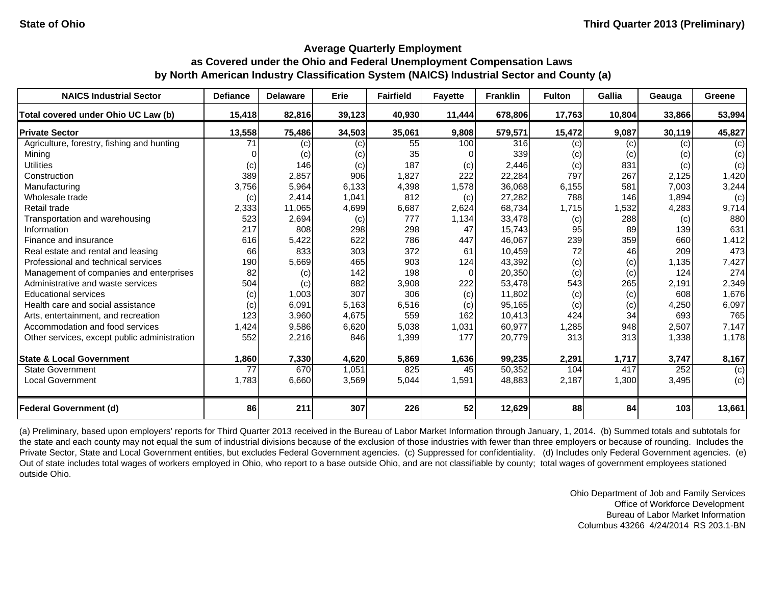| <b>NAICS Industrial Sector</b>               | <b>Defiance</b> | <b>Delaware</b> | Erie   | <b>Fairfield</b> | <b>Fayette</b> | <b>Franklin</b> | <b>Fulton</b> | Gallia | Geauga | Greene |
|----------------------------------------------|-----------------|-----------------|--------|------------------|----------------|-----------------|---------------|--------|--------|--------|
| Total covered under Ohio UC Law (b)          | 15,418          | 82,816          | 39,123 | 40,930           | 11,444         | 678,806         | 17,763        | 10,804 | 33,866 | 53,994 |
| <b>Private Sector</b>                        | 13,558          | 75,486          | 34,503 | 35,061           | 9,808          | 579,571         | 15,472        | 9,087  | 30,119 | 45,827 |
| Agriculture, forestry, fishing and hunting   | 71              | (c)             | (c)    | 55               | 100            | 316             | (c)           | (c)    | (c)    | (c)    |
| Mining                                       |                 | (c)             | (c)    | 35               |                | 339             | (c)           | (c)    | (c)    | (c)    |
| <b>Utilities</b>                             | (c)             | 146             | (c)    | 187              | (c)            | 2,446           | (c)           | 831    | (c)    | (c)    |
| Construction                                 | 389             | 2,857           | 906    | 1,827            | 222            | 22,284          | 797           | 267    | 2,125  | 1,420  |
| Manufacturing                                | 3,756           | 5,964           | 6,133  | 4,398            | 1,578          | 36,068          | 6,155         | 581    | 7,003  | 3,244  |
| Wholesale trade                              | (c)             | 2,414           | 1,041  | 812              | (c)            | 27,282          | 788           | 146    | 1,894  | (c)    |
| Retail trade                                 | 2,333           | 11,065          | 4,699  | 6,687            | 2,624          | 68,734          | 1,715         | 1,532  | 4,283  | 9,714  |
| Transportation and warehousing               | 523             | 2,694           | (c)    | 777              | 1,134          | 33,478          | (c)           | 288    | (c)    | 880    |
| Information                                  | 217             | 808             | 298    | 298              | 47             | 15,743          | 95            | 89     | 139    | 631    |
| Finance and insurance                        | 616             | 5,422           | 622    | 786              | 447            | 46,067          | 239           | 359    | 660    | 1,412  |
| Real estate and rental and leasing           | 66              | 833             | 303    | 372              | 61             | 10,459          | 72            | 46     | 209    | 473    |
| Professional and technical services          | 190             | 5,669           | 465    | 903              | 124            | 43,392          | (c)           | (c)    | 1,135  | 7,427  |
| Management of companies and enterprises      | 82              | (c)             | 142    | 198              | 0              | 20,350          | (c)           | (c)    | 124    | 274    |
| Administrative and waste services            | 504             | (c)             | 882    | 3,908            | 222            | 53,478          | 543           | 265    | 2,191  | 2,349  |
| <b>Educational services</b>                  | (c)             | 1,003           | 307    | 306              | (c)            | 11,802          | (c)           | (c)    | 608    | 1,676  |
| Health care and social assistance            | (c)             | 6,091           | 5,163  | 6,516            | (c)            | 95,165          | (c)           | (c)    | 4,250  | 6,097  |
| Arts, entertainment, and recreation          | 123             | 3,960           | 4,675  | 559              | 162            | 10,413          | 424           | 34     | 693    | 765    |
| Accommodation and food services              | 1,424           | 9,586           | 6,620  | 5,038            | 1,031          | 60,977          | 1,285         | 948    | 2,507  | 7,147  |
| Other services, except public administration | 552             | 2,216           | 846    | 1,399            | 177            | 20,779          | 313           | 313    | 1,338  | 1,178  |
| <b>State &amp; Local Government</b>          | 1,860           | 7,330           | 4,620  | 5,869            | 1,636          | 99,235          | 2,291         | 1,717  | 3,747  | 8,167  |
| <b>State Government</b>                      | 77              | 670             | 1,051  | 825              | 45             | 50,352          | 104           | 417    | 252    | (c)    |
| <b>Local Government</b>                      | 1,783           | 6,660           | 3,569  | 5,044            | 1,591          | 48,883          | 2,187         | 1,300  | 3,495  | (c)    |
| <b>Federal Government (d)</b>                | 86              | 211             | 307    | 226              | 52             | 12,629          | 88            | 84     | 103    | 13,661 |

(a) Preliminary, based upon employers' reports for Third Quarter 2013 received in the Bureau of Labor Market Information through January, 1, 2014. (b) Summed totals and subtotals for the state and each county may not equal the sum of industrial divisions because of the exclusion of those industries with fewer than three employers or because of rounding. Includes the Private Sector, State and Local Government entities, but excludes Federal Government agencies. (c) Suppressed for confidentiality. (d) Includes only Federal Government agencies. (e) Out of state includes total wages of workers employed in Ohio, who report to a base outside Ohio, and are not classifiable by county; total wages of government employees stationed outside Ohio.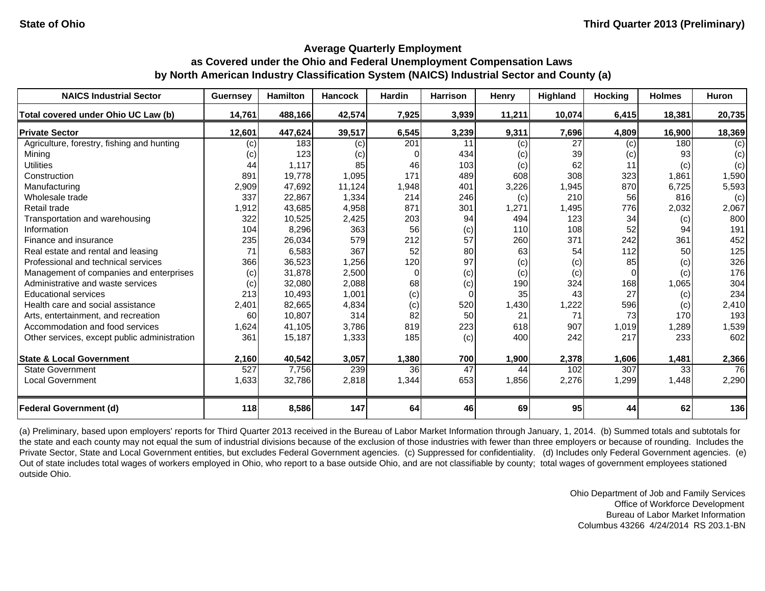| <b>NAICS Industrial Sector</b>               | <b>Guernsey</b> | <b>Hamilton</b> | <b>Hancock</b> | <b>Hardin</b> | <b>Harrison</b> | Henry  | Highland | <b>Hocking</b> | <b>Holmes</b> | <b>Huron</b> |
|----------------------------------------------|-----------------|-----------------|----------------|---------------|-----------------|--------|----------|----------------|---------------|--------------|
| Total covered under Ohio UC Law (b)          | 14,761          | 488,166         | 42,574         | 7,925         | 3,939           | 11,211 | 10,074   | 6,415          | 18,381        | 20,735       |
| <b>Private Sector</b>                        | 12,601          | 447,624         | 39,517         | 6,545         | 3,239           | 9,311  | 7,696    | 4,809          | 16,900        | 18,369       |
| Agriculture, forestry, fishing and hunting   | (c)             | 183             | (c)            | 201           | 11              | (c)    | 27       | (c)            | 180           | (c)          |
| Mining                                       | (c)             | 123             | (c)            |               | 434             | (c)    | 39       | (c)            | 93            | (c)          |
| <b>Utilities</b>                             | 44              | 1,117           | 85             | 46            | 103             | (c)    | 62       | 11             | (c)           | (c)          |
| Construction                                 | 891             | 19,778          | 1,095          | 171           | 489             | 608    | 308      | 323            | 1,861         | 1,590        |
| Manufacturing                                | 2,909           | 47,692          | 11,124         | 1,948         | 401             | 3,226  | 1,945    | 870            | 6,725         | 5,593        |
| Wholesale trade                              | 337             | 22,867          | 1,334          | 214           | 246             | (c)    | 210      | 56             | 816           | (c)          |
| Retail trade                                 | 1,912           | 43,685          | 4,958          | 871           | 301             | 1,271  | 1,495    | 776            | 2,032         | 2,067        |
| Transportation and warehousing               | 322             | 10,525          | 2,425          | 203           | 94              | 494    | 123      | 34             | (c)           | 800          |
| Information                                  | 104             | 8,296           | 363            | 56            | (c)             | 110    | 108      | 52             | 94            | 191          |
| Finance and insurance                        | 235             | 26,034          | 579            | 212           | 57              | 260    | 371      | 242            | 361           | 452          |
| Real estate and rental and leasing           | 71              | 6,583           | 367            | 52            | 80              | 63     | 54       | 112            | 50            | 125          |
| Professional and technical services          | 366             | 36,523          | 1,256          | 120           | 97              | (c)    | (c)      | 85             | (c)           | 326          |
| Management of companies and enterprises      | (c)             | 31,878          | 2,500          | $\Omega$      | (c)             | (c)    | (c)      | $\Omega$       | (c)           | 176          |
| Administrative and waste services            | (c)             | 32,080          | 2,088          | 68            | (c)             | 190    | 324      | 168            | 1,065         | 304          |
| <b>Educational services</b>                  | 213             | 10,493          | 1,001          | (c)           | $\Omega$        | 35     | 43       | 27             | (c)           | 234          |
| Health care and social assistance            | 2,401           | 82,665          | 4,834          | (c)           | 520             | 1,430  | 1,222    | 596            | (c)           | 2,410        |
| Arts, entertainment, and recreation          | 60              | 10,807          | 314            | 82            | 50              | 21     | 71       | 73             | 170           | 193          |
| Accommodation and food services              | 1,624           | 41,105          | 3,786          | 819           | 223             | 618    | 907      | 1,019          | 1,289         | 1,539        |
| Other services, except public administration | 361             | 15,187          | 1,333          | 185           | (c)             | 400    | 242      | 217            | 233           | 602          |
| <b>State &amp; Local Government</b>          | 2,160           | 40,542          | 3,057          | 1,380         | 700             | 1,900  | 2,378    | 1,606          | 1,481         | 2,366        |
| <b>State Government</b>                      | 527             | 7,756           | 239            | 36            | 47              | 44     | 102      | 307            | 33            | 76           |
| <b>Local Government</b>                      | 1,633           | 32,786          | 2,818          | 1,344         | 653             | 1,856  | 2,276    | 1,299          | 1,448         | 2,290        |
| <b>Federal Government (d)</b>                | 118             | 8,586           | 147            | 64            | 46              | 69     | 95       | 44             | 62            | 136          |

(a) Preliminary, based upon employers' reports for Third Quarter 2013 received in the Bureau of Labor Market Information through January, 1, 2014. (b) Summed totals and subtotals for the state and each county may not equal the sum of industrial divisions because of the exclusion of those industries with fewer than three employers or because of rounding. Includes the Private Sector, State and Local Government entities, but excludes Federal Government agencies. (c) Suppressed for confidentiality. (d) Includes only Federal Government agencies. (e) Out of state includes total wages of workers employed in Ohio, who report to a base outside Ohio, and are not classifiable by county; total wages of government employees stationed outside Ohio.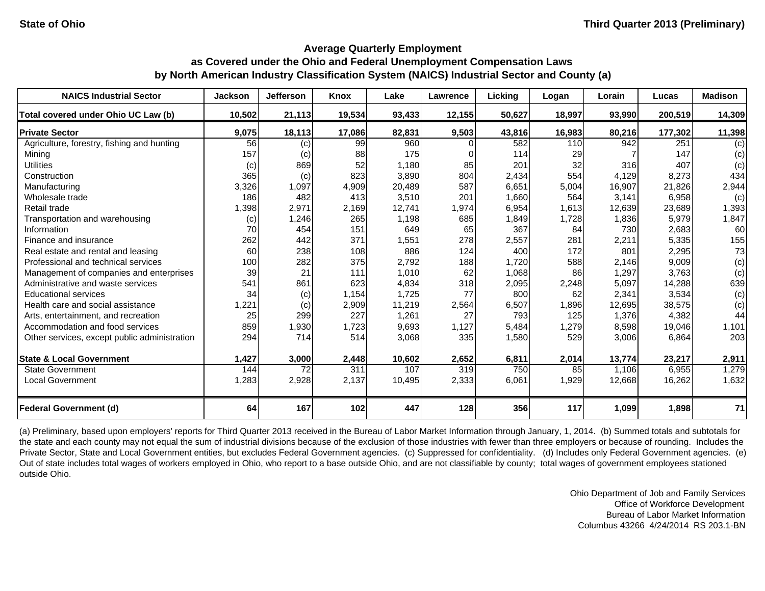| <b>NAICS Industrial Sector</b>               | <b>Jackson</b> | <b>Jefferson</b> | <b>Knox</b> | Lake   | Lawrence | Licking | Logan  | Lorain | Lucas   | <b>Madison</b> |
|----------------------------------------------|----------------|------------------|-------------|--------|----------|---------|--------|--------|---------|----------------|
| Total covered under Ohio UC Law (b)          | 10,502         | 21,113           | 19,534      | 93,433 | 12,155   | 50,627  | 18,997 | 93,990 | 200,519 | 14,309         |
| <b>Private Sector</b>                        | 9,075          | 18,113           | 17,086      | 82,831 | 9,503    | 43,816  | 16,983 | 80,216 | 177,302 | 11,398         |
| Agriculture, forestry, fishing and hunting   | 56             | (c)              | 99          | 960    |          | 582     | 110    | 942    | 251     | (c)            |
| Mining                                       | 157            | (c)              | 88          | 175    |          | 114     | 29     |        | 147     | (c)            |
| <b>Utilities</b>                             | (c)            | 869              | 52          | 1,180  | 85       | 201     | 32     | 316    | 407     | (c)            |
| Construction                                 | 365            | (c)              | 823         | 3,890  | 804      | 2,434   | 554    | 4,129  | 8,273   | 434            |
| Manufacturing                                | 3,326          | 1,097            | 4,909       | 20,489 | 587      | 6,651   | 5,004  | 16,907 | 21,826  | 2,944          |
| Wholesale trade                              | 186            | 482              | 413         | 3,510  | 201      | 1,660   | 564    | 3,141  | 6,958   | (c)            |
| Retail trade                                 | 1,398          | 2,971            | 2,169       | 12,741 | 1,974    | 6,954   | 1,613  | 12,639 | 23,689  | 1,393          |
| Transportation and warehousing               | (c)            | 1,246            | 265         | 1,198  | 685      | 1,849   | 1,728  | 1,836  | 5,979   | 1,847          |
| Information                                  | 70             | 454              | 151         | 649    | 65       | 367     | 84     | 730    | 2,683   | 60             |
| Finance and insurance                        | 262            | 442              | 371         | 1,551  | 278      | 2,557   | 281    | 2,211  | 5,335   | 155            |
| Real estate and rental and leasing           | 60             | 238              | 108         | 886    | 124      | 400     | 172    | 801    | 2,295   | 73             |
| Professional and technical services          | 100            | 282              | 375         | 2,792  | 188      | 1,720   | 588    | 2,146  | 9,009   | (c)            |
| Management of companies and enterprises      | 39             | 21               | 111         | 1,010  | 62       | 1,068   | 86     | 1,297  | 3,763   | (c)            |
| Administrative and waste services            | 541            | 861              | 623         | 4,834  | 318      | 2,095   | 2,248  | 5,097  | 14,288  | 639            |
| <b>Educational services</b>                  | 34             | (c)              | 1,154       | 1,725  | 77       | 800     | 62     | 2,341  | 3,534   | (c)            |
| Health care and social assistance            | 1,221          | (c)              | 2,909       | 11,219 | 2,564    | 6,507   | 1,896  | 12,695 | 38,575  | (c)            |
| Arts, entertainment, and recreation          | 25             | 299              | 227         | 1,261  | 27       | 793     | 125    | 1,376  | 4,382   | 44             |
| Accommodation and food services              | 859            | 1,930            | 1,723       | 9,693  | 1,127    | 5,484   | 1,279  | 8,598  | 19,046  | 1,101          |
| Other services, except public administration | 294            | 714              | 514         | 3,068  | 335      | 1,580   | 529    | 3,006  | 6,864   | 203            |
| <b>State &amp; Local Government</b>          | 1,427          | 3,000            | 2,448       | 10,602 | 2,652    | 6,811   | 2,014  | 13,774 | 23,217  | 2,911          |
| <b>State Government</b>                      | 144            | 72               | 311         | 107    | 319      | 750     | 85     | 1,106  | 6,955   | 1,279          |
| <b>Local Government</b>                      | 1,283          | 2,928            | 2,137       | 10,495 | 2,333    | 6,061   | 1,929  | 12,668 | 16,262  | 1,632          |
| <b>Federal Government (d)</b>                | 64             | 167              | 102         | 447    | 128      | 356     | 117    | 1,099  | 1,898   | 71             |

(a) Preliminary, based upon employers' reports for Third Quarter 2013 received in the Bureau of Labor Market Information through January, 1, 2014. (b) Summed totals and subtotals for the state and each county may not equal the sum of industrial divisions because of the exclusion of those industries with fewer than three employers or because of rounding. Includes the Private Sector, State and Local Government entities, but excludes Federal Government agencies. (c) Suppressed for confidentiality. (d) Includes only Federal Government agencies. (e) Out of state includes total wages of workers employed in Ohio, who report to a base outside Ohio, and are not classifiable by county; total wages of government employees stationed outside Ohio.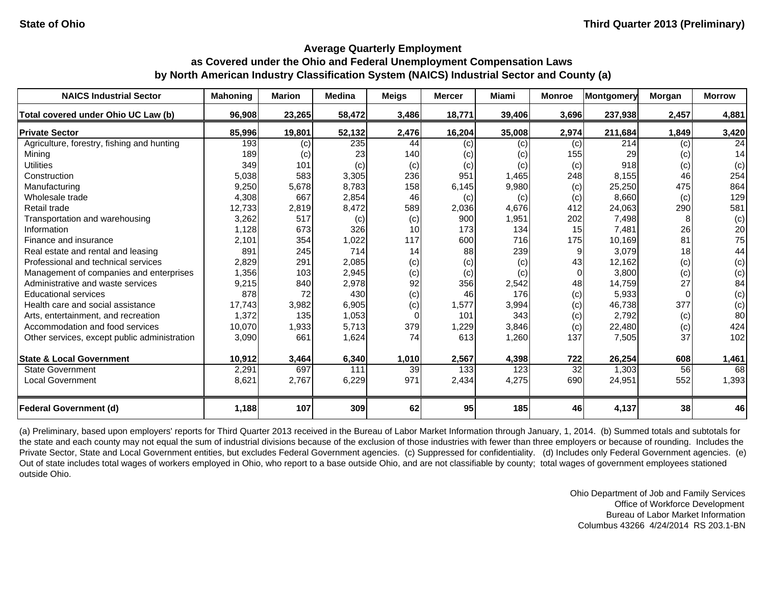| <b>NAICS Industrial Sector</b>               | <b>Mahoning</b> | <b>Marion</b> | <b>Medina</b> | <b>Meigs</b> | <b>Mercer</b> | Miami  | <b>Monroe</b>   | <b>Montgomery</b> | Morgan | <b>Morrow</b> |
|----------------------------------------------|-----------------|---------------|---------------|--------------|---------------|--------|-----------------|-------------------|--------|---------------|
| Total covered under Ohio UC Law (b)          | 96,908          | 23,265        | 58,472        | 3,486        | 18,771        | 39,406 | 3,696           | 237,938           | 2,457  | 4,881         |
| <b>Private Sector</b>                        | 85,996          | 19,801        | 52,132        | 2,476        | 16,204        | 35,008 | 2,974           | 211,684           | 1,849  | 3,420         |
| Agriculture, forestry, fishing and hunting   | 193             | (c)           | 235           | 44           | (c)           | (c)    | (c)             | 214               | (c)    | 24            |
| Mining                                       | 189             | (c)           | 23            | 140          | (c)           | (c)    | 155             | 29                | (c)    | 14            |
| <b>Utilities</b>                             | 349             | 101           | (c)           | (c)          | (c)           | (c)    | (c)             | 918               | (c)    | (c)           |
| Construction                                 | 5,038           | 583           | 3,305         | 236          | 951           | 1,465  | 248             | 8,155             | 46     | 254           |
| Manufacturing                                | 9,250           | 5,678         | 8,783         | 158          | 6,145         | 9,980  | (c)             | 25,250            | 475    | 864           |
| Wholesale trade                              | 4,308           | 667           | 2,854         | 46           | (c)           | (c)    | (c)             | 8,660             | (c)    | 129           |
| Retail trade                                 | 12,733          | 2,819         | 8,472         | 589          | 2,036         | 4,676  | 412             | 24,063            | 290    | 581           |
| Transportation and warehousing               | 3,262           | 517           | (c)           | (c)          | 900           | 1,951  | 202             | 7,498             |        | (c)           |
| Information                                  | 1,128           | 673           | 326           | 10           | 173           | 134    | 15              | 7,481             | 26     | 20            |
| Finance and insurance                        | 2,101           | 354           | 1,022         | 117          | 600           | 716    | 175             | 10,169            | 81     | 75            |
| Real estate and rental and leasing           | 891             | 245           | 714           | 14           | 88            | 239    | 9               | 3,079             | 18     | 44            |
| Professional and technical services          | 2,829           | 291           | 2,085         | (c)          | (c)           | (c)    | 43              | 12,162            | (c)    | (c)           |
| Management of companies and enterprises      | 1,356           | 103           | 2,945         | (c)          | (c)           | (c)    | $\Omega$        | 3,800             | (c)    | (c)           |
| Administrative and waste services            | 9,215           | 840           | 2,978         | 92           | 356           | 2,542  | 48              | 14,759            | 27     | 84            |
| <b>Educational services</b>                  | 878             | 72            | 430           | (c)          | 46            | 176    | (c)             | 5,933             |        | (c)           |
| Health care and social assistance            | 17,743          | 3,982         | 6,905         | (c)          | 1,577         | 3,994  | (c)             | 46,738            | 377    | (c)           |
| Arts, entertainment, and recreation          | 1,372           | 135           | 1,053         | $\Omega$     | 101           | 343    | (c)             | 2,792             | (c)    | 80            |
| Accommodation and food services              | 10,070          | 1,933         | 5,713         | 379          | 1,229         | 3,846  | (c)             | 22,480            | (c)    | 424           |
| Other services, except public administration | 3,090           | 661           | 1,624         | 74           | 613           | 1,260  | 137             | 7,505             | 37     | 102           |
| <b>State &amp; Local Government</b>          | 10,912          | 3,464         | 6,340         | 1,010        | 2,567         | 4,398  | 722             | 26,254            | 608    | 1,461         |
| <b>State Government</b>                      | 2,291           | 697           | 111           | 39           | 133           | 123    | $\overline{32}$ | 1,303             | 56     | 68            |
| <b>Local Government</b>                      | 8,621           | 2,767         | 6,229         | 971          | 2,434         | 4,275  | 690             | 24,951            | 552    | 1,393         |
| <b>Federal Government (d)</b>                | 1,188           | 107           | 309           | 62           | 95            | 185    | 46              | 4,137             | 38     | 46            |

(a) Preliminary, based upon employers' reports for Third Quarter 2013 received in the Bureau of Labor Market Information through January, 1, 2014. (b) Summed totals and subtotals for the state and each county may not equal the sum of industrial divisions because of the exclusion of those industries with fewer than three employers or because of rounding. Includes the Private Sector, State and Local Government entities, but excludes Federal Government agencies. (c) Suppressed for confidentiality. (d) Includes only Federal Government agencies. (e) Out of state includes total wages of workers employed in Ohio, who report to a base outside Ohio, and are not classifiable by county; total wages of government employees stationed outside Ohio.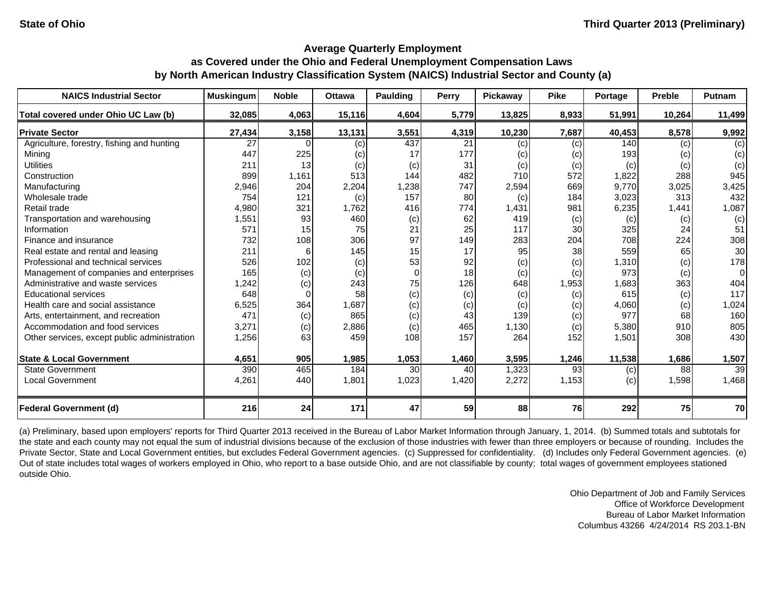| <b>NAICS Industrial Sector</b>               | <b>Muskingum</b> | <b>Noble</b> | <b>Ottawa</b> | Paulding | <b>Perry</b> | Pickaway | <b>Pike</b> | Portage | <b>Preble</b> | <b>Putnam</b> |
|----------------------------------------------|------------------|--------------|---------------|----------|--------------|----------|-------------|---------|---------------|---------------|
| Total covered under Ohio UC Law (b)          | 32,085           | 4,063        | 15,116        | 4,604    | 5,779        | 13,825   | 8,933       | 51,991  | 10,264        | 11,499        |
| <b>Private Sector</b>                        | 27,434           | 3,158        | 13,131        | 3,551    | 4,319        | 10,230   | 7,687       | 40,453  | 8,578         | 9,992         |
| Agriculture, forestry, fishing and hunting   | 27               |              | (c)           | 437      | 21           | (c)      | (c)         | 140     | (c)           | (c)           |
| Mining                                       | 447              | 225          | (c)           | 17       | 177          | (c)      | (c)         | 193     | (c)           | (c)           |
| <b>Utilities</b>                             | 211              | 13           | (c)           | (c)      | 31           | (c)      | (c)         | (c)     | (c)           | (c)           |
| Construction                                 | 899              | 1,161        | 513           | 144      | 482          | 710      | 572         | 1,822   | 288           | 945           |
| Manufacturing                                | 2,946            | 204          | 2,204         | 1,238    | 747          | 2,594    | 669         | 9,770   | 3,025         | 3,425         |
| Wholesale trade                              | 754              | 121          | (c)           | 157      | 80           | (c)      | 184         | 3,023   | 313           | 432           |
| Retail trade                                 | 4,980            | 321          | 1,762         | 416      | 774          | 1,431    | 981         | 6,235   | 1,441         | 1,087         |
| Transportation and warehousing               | 1,551            | 93           | 460           | (c)      | 62           | 419      | (c)         | (c)     | (c)           | (c)           |
| Information                                  | 571              | 15           | 75            | 21       | 25           | 117      | 30          | 325     | 24            | 51            |
| Finance and insurance                        | 732              | 108          | 306           | 97       | 149          | 283      | 204         | 708     | 224           | 308           |
| Real estate and rental and leasing           | 211              | 6            | 145           | 15       | 17           | 95       | 38          | 559     | 65            | 30            |
| Professional and technical services          | 526              | 102          | (c)           | 53       | 92           | (c)      | (c)         | 1,310   | (c)           | 178           |
| Management of companies and enterprises      | 165              | (c)          | (c)           | $\Omega$ | 18           | (c)      | (c)         | 973     | (c)           | $\Omega$      |
| Administrative and waste services            | 1,242            | (c)          | 243           | 75       | 126          | 648      | 1,953       | 1,683   | 363           | 404           |
| <b>Educational services</b>                  | 648              | $\Omega$     | 58            | (c)      | (c)          | (c)      | (c)         | 615     | (c)           | 117           |
| Health care and social assistance            | 6,525            | 364          | 1,687         | (c)      | (c)          | (c)      | (c)         | 4,060   | (c)           | 1,024         |
| Arts, entertainment, and recreation          | 471              | (c)          | 865           | (c)      | 43           | 139      | (c)         | 977     | 68            | 160           |
| Accommodation and food services              | 3,271            | (c)          | 2,886         | (c)      | 465          | 1,130    | (c)         | 5,380   | 910           | 805           |
| Other services, except public administration | 1,256            | 63           | 459           | 108      | 157          | 264      | 152         | 1,501   | 308           | 430           |
| <b>State &amp; Local Government</b>          | 4,651            | 905          | 1,985         | 1,053    | 1,460        | 3,595    | 1,246       | 11,538  | 1,686         | 1,507         |
| <b>State Government</b>                      | 390              | 465          | 184           | 30       | 40           | 1,323    | 93          | (c)     | 88            | 39            |
| <b>Local Government</b>                      | 4,261            | 440          | 1,801         | 1,023    | 1,420        | 2,272    | 1,153       | (c)     | 1,598         | 1,468         |
| <b>Federal Government (d)</b>                | 216              | 24           | 171           | 47       | 59           | 88       | 76          | 292     | 75            | 70            |

(a) Preliminary, based upon employers' reports for Third Quarter 2013 received in the Bureau of Labor Market Information through January, 1, 2014. (b) Summed totals and subtotals for the state and each county may not equal the sum of industrial divisions because of the exclusion of those industries with fewer than three employers or because of rounding. Includes the Private Sector, State and Local Government entities, but excludes Federal Government agencies. (c) Suppressed for confidentiality. (d) Includes only Federal Government agencies. (e) Out of state includes total wages of workers employed in Ohio, who report to a base outside Ohio, and are not classifiable by county; total wages of government employees stationed outside Ohio.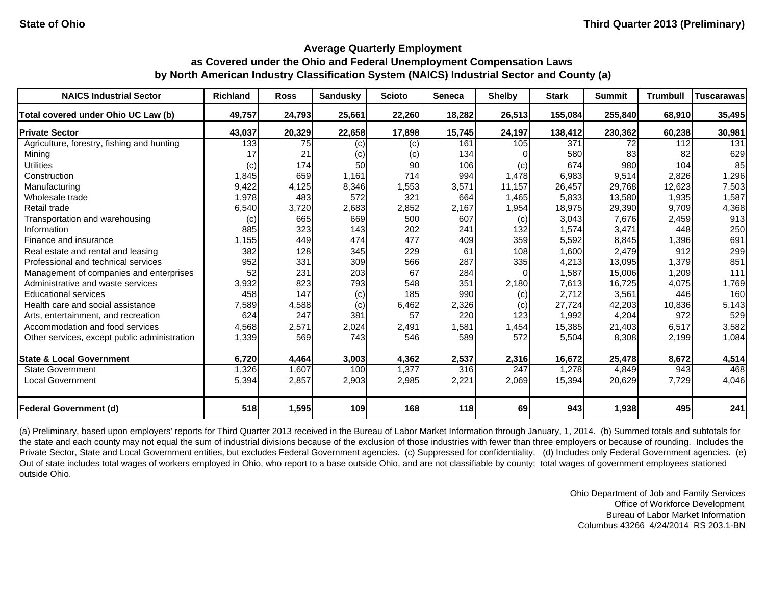| <b>NAICS Industrial Sector</b>               | <b>Richland</b> | <b>Ross</b> | <b>Sandusky</b> | <b>Scioto</b> | Seneca | <b>Shelby</b> | <b>Stark</b> | <b>Summit</b> | <b>Trumbull</b> | <b>Tuscarawas</b> |
|----------------------------------------------|-----------------|-------------|-----------------|---------------|--------|---------------|--------------|---------------|-----------------|-------------------|
| Total covered under Ohio UC Law (b)          | 49,757          | 24,793      | 25,661          | 22,260        | 18,282 | 26,513        | 155,084      | 255,840       | 68,910          | 35,495            |
| <b>Private Sector</b>                        | 43,037          | 20,329      | 22,658          | 17,898        | 15,745 | 24,197        | 138,412      | 230,362       | 60,238          | 30,981            |
| Agriculture, forestry, fishing and hunting   | 133             | 75          | (c)             | (c)           | 161    | 105           | 371          | 72            | 112             | 131               |
| Mining                                       | 17              | 21          | (c)             | (c)           | 134    |               | 580          | 83            | 82              | 629               |
| <b>Utilities</b>                             | (c)             | 174         | 50              | 90            | 106    | (c)           | 674          | 980           | 104             | 85                |
| Construction                                 | 1,845           | 659         | 1,161           | 714           | 994    | 1,478         | 6,983        | 9,514         | 2,826           | 1,296             |
| Manufacturing                                | 9,422           | 4,125       | 8,346           | 1,553         | 3,571  | 11,157        | 26,457       | 29,768        | 12,623          | 7,503             |
| Wholesale trade                              | 1,978           | 483         | 572             | 321           | 664    | 1,465         | 5,833        | 13,580        | 1,935           | 1,587             |
| Retail trade                                 | 6,540           | 3,720       | 2,683           | 2,852         | 2,167  | 1,954         | 18,975       | 29,390        | 9,709           | 4,368             |
| Transportation and warehousing               | (c)             | 665         | 669             | 500           | 607    | (c)           | 3,043        | 7,676         | 2,459           | 913               |
| Information                                  | 885             | 323         | 143             | 202           | 241    | 132           | 1,574        | 3,471         | 448             | 250               |
| Finance and insurance                        | 1,155           | 449         | 474             | 477           | 409    | 359           | 5,592        | 8,845         | 1,396           | 691               |
| Real estate and rental and leasing           | 382             | 128         | 345             | 229           | 61     | 108           | 1,600        | 2,479         | 912             | 299               |
| Professional and technical services          | 952             | 331         | 309             | 566           | 287    | 335           | 4,213        | 13,095        | 1,379           | 851               |
| Management of companies and enterprises      | 52 <sub>l</sub> | 231         | 203             | 67            | 284    | $\Omega$      | 1,587        | 15,006        | 1,209           | 111               |
| Administrative and waste services            | 3,932           | 823         | 793             | 548           | 351    | 2,180         | 7.613        | 16,725        | 4.075           | 1,769             |
| <b>Educational services</b>                  | 458             | 147         | (c)             | 185           | 990    | (c)           | 2,712        | 3,561         | 446             | 160               |
| Health care and social assistance            | 7,589           | 4,588       | (c)             | 6,462         | 2,326  | (c)           | 27,724       | 42,203        | 10,836          | 5,143             |
| Arts, entertainment, and recreation          | 624             | 247         | 381             | 57            | 220    | 123           | 1,992        | 4,204         | 972             | 529               |
| Accommodation and food services              | 4,568           | 2,571       | 2,024           | 2,491         | 1,581  | 1,454         | 15,385       | 21,403        | 6,517           | 3,582             |
| Other services, except public administration | 1,339           | 569         | 743             | 546           | 589    | 572           | 5,504        | 8,308         | 2,199           | 1,084             |
| <b>State &amp; Local Government</b>          | 6,720           | 4,464       | 3,003           | 4,362         | 2,537  | 2,316         | 16,672       | 25,478        | 8,672           | 4,514             |
| <b>State Government</b>                      | 1,326           | 1,607       | 100             | 1,377         | 316    | 247           | ,278         | 4,849         | 943             | 468               |
| <b>Local Government</b>                      | 5,394           | 2,857       | 2,903           | 2,985         | 2,221  | 2,069         | 15,394       | 20,629        | 7,729           | 4,046             |
| <b>Federal Government (d)</b>                | 518             | 1,595       | 109             | 168           | 118    | 69            | 943          | 1,938         | 495             | 241               |

(a) Preliminary, based upon employers' reports for Third Quarter 2013 received in the Bureau of Labor Market Information through January, 1, 2014. (b) Summed totals and subtotals for the state and each county may not equal the sum of industrial divisions because of the exclusion of those industries with fewer than three employers or because of rounding. Includes the Private Sector, State and Local Government entities, but excludes Federal Government agencies. (c) Suppressed for confidentiality. (d) Includes only Federal Government agencies. (e) Out of state includes total wages of workers employed in Ohio, who report to a base outside Ohio, and are not classifiable by county; total wages of government employees stationed outside Ohio.